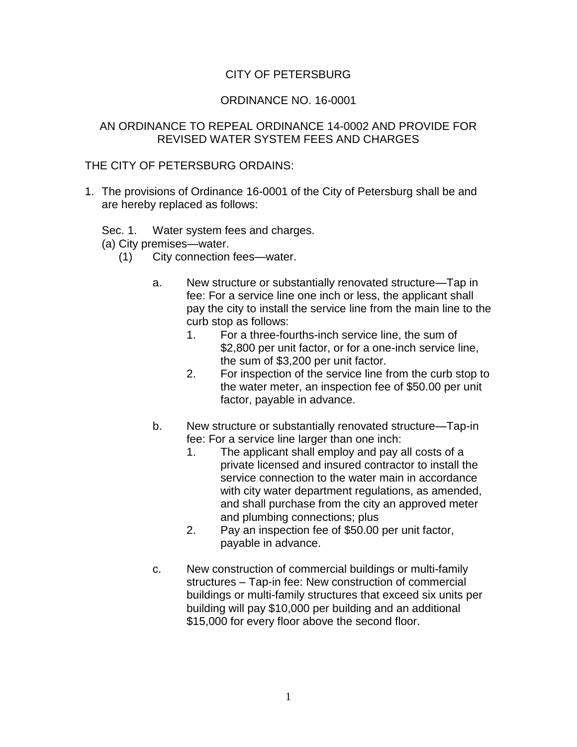## CITY OF PETERSBURG

## ORDINANCE NO. 16-0001

## AN ORDINANCE TO REPEAL ORDINANCE 14-0002 AND PROVIDE FOR REVISED WATER SYSTEM FEES AND CHARGES

## THE CITY OF PETERSBURG ORDAINS:

- 1. The provisions of Ordinance 16-0001 of the City of Petersburg shall be and are hereby replaced as follows:
	- Sec. 1. Water system fees and charges.

(a) City premises—water.

- (1) City connection fees—water.
	- a. New structure or substantially renovated structure—Tap in fee: For a service line one inch or less, the applicant shall pay the city to install the service line from the main line to the curb stop as follows:
		- 1. For a three-fourths-inch service line, the sum of \$2,800 per unit factor, or for a one-inch service line, the sum of \$3,200 per unit factor.
		- 2. For inspection of the service line from the curb stop to the water meter, an inspection fee of \$50.00 per unit factor, payable in advance.
	- b. New structure or substantially renovated structure—Tap-in fee: For a service line larger than one inch:
		- 1. The applicant shall employ and pay all costs of a private licensed and insured contractor to install the service connection to the water main in accordance with city water department regulations, as amended, and shall purchase from the city an approved meter and plumbing connections; plus
		- 2. Pay an inspection fee of \$50.00 per unit factor, payable in advance.
	- c. New construction of commercial buildings or multi-family structures – Tap-in fee: New construction of commercial buildings or multi-family structures that exceed six units per building will pay \$10,000 per building and an additional \$15,000 for every floor above the second floor.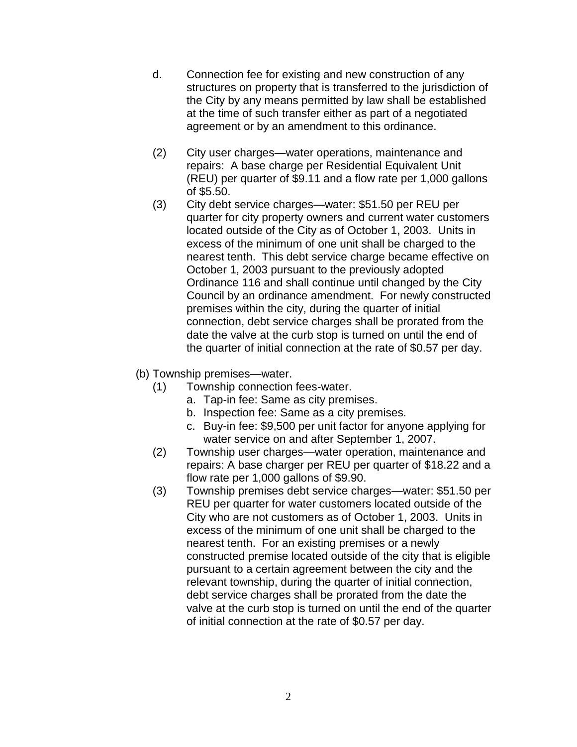- d. Connection fee for existing and new construction of any structures on property that is transferred to the jurisdiction of the City by any means permitted by law shall be established at the time of such transfer either as part of a negotiated agreement or by an amendment to this ordinance.
- (2) City user charges—water operations, maintenance and repairs: A base charge per Residential Equivalent Unit (REU) per quarter of \$9.11 and a flow rate per 1,000 gallons of \$5.50.
- (3) City debt service charges—water: \$51.50 per REU per quarter for city property owners and current water customers located outside of the City as of October 1, 2003. Units in excess of the minimum of one unit shall be charged to the nearest tenth. This debt service charge became effective on October 1, 2003 pursuant to the previously adopted Ordinance 116 and shall continue until changed by the City Council by an ordinance amendment. For newly constructed premises within the city, during the quarter of initial connection, debt service charges shall be prorated from the date the valve at the curb stop is turned on until the end of the quarter of initial connection at the rate of \$0.57 per day.
- (b) Township premises—water.
	- (1) Township connection fees-water.
		- a. Tap-in fee: Same as city premises.
		- b. Inspection fee: Same as a city premises.
		- c. Buy-in fee: \$9,500 per unit factor for anyone applying for water service on and after September 1, 2007.
	- (2) Township user charges—water operation, maintenance and repairs: A base charger per REU per quarter of \$18.22 and a flow rate per 1,000 gallons of \$9.90.
	- (3) Township premises debt service charges—water: \$51.50 per REU per quarter for water customers located outside of the City who are not customers as of October 1, 2003. Units in excess of the minimum of one unit shall be charged to the nearest tenth. For an existing premises or a newly constructed premise located outside of the city that is eligible pursuant to a certain agreement between the city and the relevant township, during the quarter of initial connection, debt service charges shall be prorated from the date the valve at the curb stop is turned on until the end of the quarter of initial connection at the rate of \$0.57 per day.